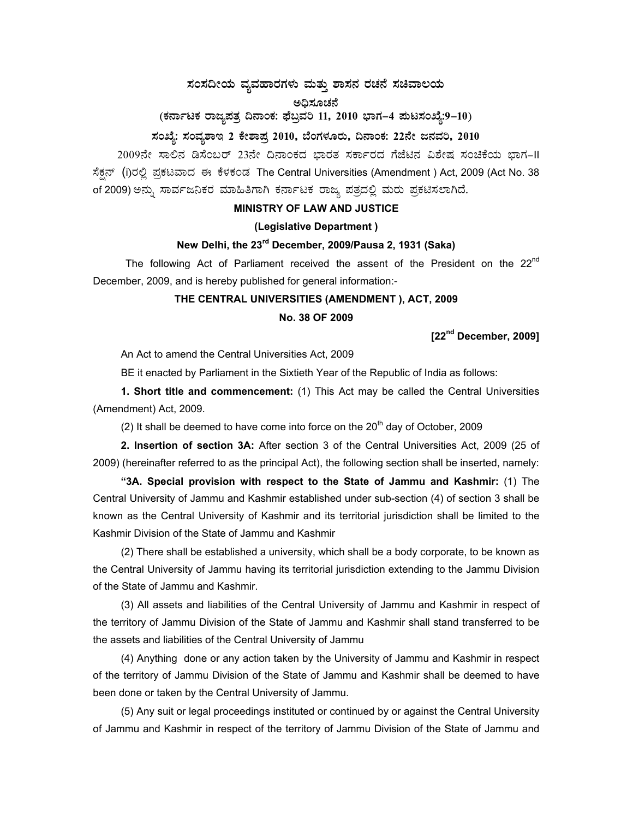# $\,$ ಸಂಸದೀಯ ವ್ಯವಹಾರಗಳು ಮತ್ತು ಶಾಸನ ರಚನೆ ಸಚಿವಾಲಯ

ಅಧಿಸೂಚನೆ

(ಕರ್ನಾಟಕ ರಾಜ್ಯಪತ್ರ ದಿನಾಂಕ: ಫೆಬ್ರವರಿ 11, 2010 ಭಾಗ–4 **ಮಟಸಂಖ್ಯೆ:9–10**)

## ಸಂಖ್ಯೆ: ಸಂವ್ನಶಾಇ 2 ಕೇಶಾಪ್ರ 2010, ಬೆಂಗಳೂರು, ದಿನಾಂಕ: 22ನೇ ಜನವರಿ, 2010

2009ನೇ ಸಾಲಿನ ಡಿಸೆಂಬರ್ 23ನೇ ದಿನಾಂಕದ ಭಾರತ ಸರ್ಕಾರದ ಗೆಜೆಟಿನ ವಿಶೇಷ ಸಂಚಿಕೆಯ ಭಾಗ−II ಸೆಕ್ಷನ್ (i)ರಲ್ಲಿ ಪ್ರಕಟವಾದ ಈ ಕೆಳಕಂಡ The Central Universities (Amendment ) Act, 2009 (Act No. 38 of 2009) ಅನ್ನು ಸಾರ್ವಜನಿಕರ ಮಾಹಿತಿಗಾಗಿ ಕರ್ನಾಟಕ ರಾಜ್ಯ ಪತ್ರದಲ್ಲಿ ಮರು ಪ್ರಕಟಿಸಲಾಗಿದೆ.

#### **MINISTRY OF LAW AND JUSTICE**

#### **(Legislative Department )**

# **New Delhi, the 23rd December, 2009/Pausa 2, 1931 (Saka)**

The following Act of Parliament received the assent of the President on the 22<sup>nd</sup> December, 2009, and is hereby published for general information:-

#### **THE CENTRAL UNIVERSITIES (AMENDMENT ), ACT, 2009**

#### **No. 38 OF 2009**

## **[22nd December, 2009]**

An Act to amend the Central Universities Act, 2009

BE it enacted by Parliament in the Sixtieth Year of the Republic of India as follows:

**1. Short title and commencement:** (1) This Act may be called the Central Universities (Amendment) Act, 2009.

(2) It shall be deemed to have come into force on the  $20<sup>th</sup>$  day of October, 2009

**2. Insertion of section 3A:** After section 3 of the Central Universities Act, 2009 (25 of 2009) (hereinafter referred to as the principal Act), the following section shall be inserted, namely:

**"3A. Special provision with respect to the State of Jammu and Kashmir:** (1) The Central University of Jammu and Kashmir established under sub-section (4) of section 3 shall be known as the Central University of Kashmir and its territorial jurisdiction shall be limited to the Kashmir Division of the State of Jammu and Kashmir

 (2) There shall be established a university, which shall be a body corporate, to be known as the Central University of Jammu having its territorial jurisdiction extending to the Jammu Division of the State of Jammu and Kashmir.

 (3) All assets and liabilities of the Central University of Jammu and Kashmir in respect of the territory of Jammu Division of the State of Jammu and Kashmir shall stand transferred to be the assets and liabilities of the Central University of Jammu

 (4) Anything done or any action taken by the University of Jammu and Kashmir in respect of the territory of Jammu Division of the State of Jammu and Kashmir shall be deemed to have been done or taken by the Central University of Jammu.

 (5) Any suit or legal proceedings instituted or continued by or against the Central University of Jammu and Kashmir in respect of the territory of Jammu Division of the State of Jammu and